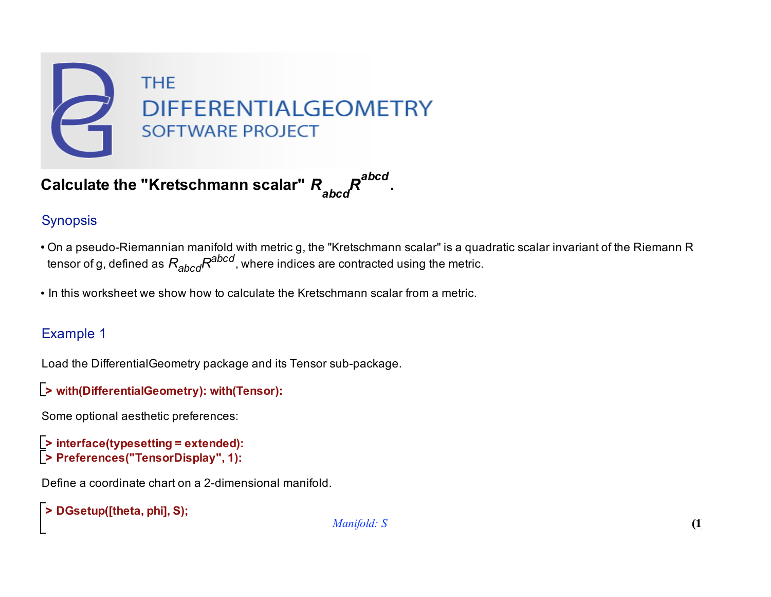

Calculate the "Kretschmann scalar"  $R_{abcd}^{abcd}$ 

# Synopsis

- On a pseudo-Riemannian manifold with metric g, the "Kretschmann scalar" is a quadratic scalar invariant of the Riemann R tensor of g, defined as  $R_{abcd}R^{abcd}$ , where indices are contracted using the metric.
- In this worksheet we show how to calculate the Kretschmann scalar from a metric.

## Example 1

Load the DifferentialGeometry package and its Tensor sub-package.

```
> 
with(DifferentialGeometry): with(Tensor):
```
Some optional aesthetic preferences:

```
> 
interface(typesetting = extended):
> 
Preferences("TensorDisplay", 1):
```
Define a coordinate chart on a 2-dimensional manifold.

```
> 
DGsetup([theta, phi], S);
```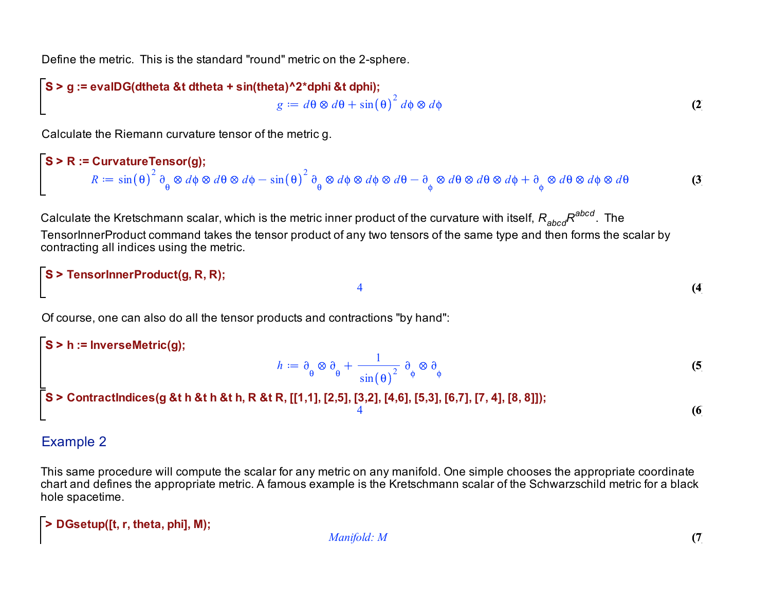Define the metric. This is the standard "round" metric on the 2-sphere.

$$
S > g := \text{evalDG(dtheta & t dtheta + \sin(\text{theta})^22^* \text{dphi & t dphi)};
$$
\n
$$
g := d\theta \otimes d\theta + \sin(\theta)^2 d\phi \otimes d\phi
$$
\n
$$
(2)
$$

Calculate the Riemann curvature tensor of the metric g.

$$
\begin{bmatrix} S > R := CurvatureTensor(g); \\ R := \sin(\theta)^2 \partial_{\theta} \otimes d\phi \otimes d\theta \otimes d\phi - \sin(\theta)^2 \partial_{\theta} \otimes d\phi \otimes d\phi \otimes d\theta - \partial_{\phi} \otimes d\theta \otimes d\theta \otimes d\phi + \partial_{\phi} \otimes d\theta \otimes d\phi \otimes d\theta \end{bmatrix} \tag{3}
$$

Calculate the Kretschmann scalar, which is the metric inner product of the curvature with itself,  $R_{abcd}R^{abcd}$ . The TensorInnerProduct command takes the tensor product of any two tensors of the same type and then forms the scalar by contracting all indices using the metric.

4

```
S > 
TensorInnerProduct(g, R, R);
```
Of course, one can also do all the tensor products and contractions "by hand":

$$
h := \partial_{\theta} \otimes \partial_{\theta} + \frac{1}{\sin(\theta)^2} \partial_{\phi} \otimes \partial_{\phi}
$$
\n
$$
= \frac{1}{3} \cos(\theta) + \frac{1}{\sin(\theta)^2} \cos(\theta) + \frac{1}{\sin(\theta)^2} \cos(\theta)
$$
\n
$$
= \frac{1}{3} \cos(\theta) + \frac{1}{\sin(\theta)^2} \cos(\theta)
$$
\n
$$
= \frac{1}{3} \cos(\theta)
$$
\n
$$
= \frac{1}{3} \cos(\theta)
$$
\n
$$
= \frac{1}{3} \cos(\theta)
$$
\n
$$
= \frac{1}{3} \cos(\theta)
$$
\n
$$
= \frac{1}{3} \cos(\theta)
$$
\n
$$
= \frac{1}{3} \cos(\theta)
$$
\n
$$
= \frac{1}{3} \cos(\theta)
$$
\n
$$
= \frac{1}{3} \cos(\theta)
$$
\n
$$
= \frac{1}{3} \cos(\theta)
$$
\n
$$
= \frac{1}{3} \cos(\theta)
$$
\n
$$
= \frac{1}{3} \cos(\theta)
$$
\n
$$
= \frac{1}{3} \cos(\theta)
$$
\n
$$
= \frac{1}{3} \cos(\theta)
$$
\n
$$
= \frac{1}{3} \cos(\theta)
$$
\n
$$
= \frac{1}{3} \cos(\theta)
$$
\n
$$
= \frac{1}{3} \cos(\theta)
$$
\n
$$
= \frac{1}{3} \cos(\theta)
$$
\n
$$
= \frac{1}{3} \cos(\theta)
$$
\n
$$
= \frac{1}{3} \cos(\theta)
$$
\n
$$
= \frac{1}{3} \cos(\theta)
$$
\n
$$
= \frac{1}{3} \cos(\theta)
$$
\n
$$
= \frac{1}{3} \cos(\theta)
$$
\n
$$
= \frac{1}{3} \cos(\theta)
$$
\n
$$
= \frac{1}{3} \cos(\theta)
$$
\n
$$
= \frac{1}{3} \cos(\theta)
$$
\n
$$
= \frac{1}{3} \cos(\theta)
$$
\n
$$
= \frac{1}{3} \cos(\theta)
$$
\n
$$
= \frac{1}{3} \cos(\theta)
$$

#### Example 2

L

This same procedure will compute the scalar for any metric on any manifold. One simple chooses the appropriate coordinate chart and defines the appropriate metric. A famous example is the Kretschmann scalar of the Schwarzschild metric for a black hole spacetime.

**> DGsetup([t, r, theta, phi], M);**

*Manifold: M*

**(4)**